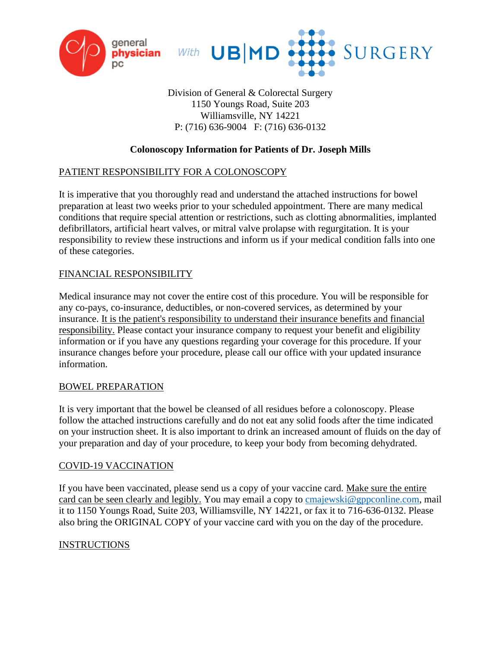



Division of General & Colorectal Surgery 1150 Youngs Road, Suite 203 Williamsville, NY 14221 P: (716) 636-9004 F: (716) 636-0132

# **Colonoscopy Information for Patients of Dr. Joseph Mills**

### PATIENT RESPONSIBILITY FOR A COLONOSCOPY

It is imperative that you thoroughly read and understand the attached instructions for bowel preparation at least two weeks prior to your scheduled appointment. There are many medical conditions that require special attention or restrictions, such as clotting abnormalities, implanted defibrillators, artificial heart valves, or mitral valve prolapse with regurgitation. It is your responsibility to review these instructions and inform us if your medical condition falls into one of these categories.

# FINANCIAL RESPONSIBILITY

Medical insurance may not cover the entire cost of this procedure. You will be responsible for any co-pays, co-insurance, deductibles, or non-covered services, as determined by your insurance. It is the patient's responsibility to understand their insurance benefits and financial responsibility. Please contact your insurance company to request your benefit and eligibility information or if you have any questions regarding your coverage for this procedure. If your insurance changes before your procedure, please call our office with your updated insurance information.

### BOWEL PREPARATION

It is very important that the bowel be cleansed of all residues before a colonoscopy. Please follow the attached instructions carefully and do not eat any solid foods after the time indicated on your instruction sheet. It is also important to drink an increased amount of fluids on the day of your preparation and day of your procedure, to keep your body from becoming dehydrated.

### COVID-19 VACCINATION

If you have been vaccinated, please send us a copy of your vaccine card. Make sure the entire card can be seen clearly and legibly. You may email a copy to [cmajewski@gppconline.com,](mailto:cmajewski@gppconline.com) mail it to 1150 Youngs Road, Suite 203, Williamsville, NY 14221, or fax it to 716-636-0132. Please also bring the ORIGINAL COPY of your vaccine card with you on the day of the procedure.

### INSTRUCTIONS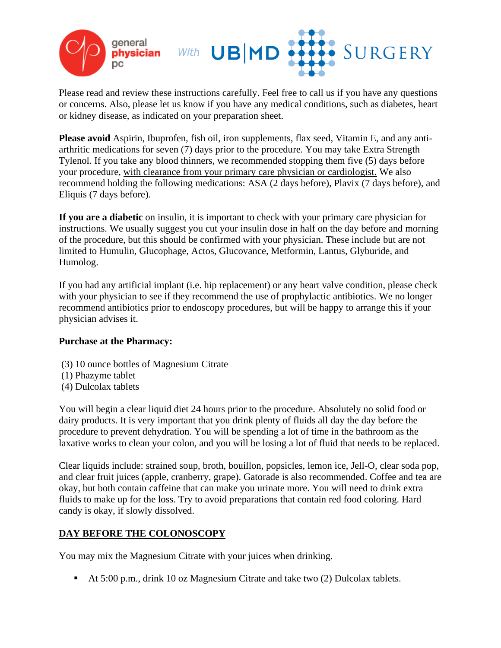

Please read and review these instructions carefully. Feel free to call us if you have any questions or concerns. Also, please let us know if you have any medical conditions, such as diabetes, heart or kidney disease, as indicated on your preparation sheet.

**Please avoid** Aspirin, Ibuprofen, fish oil, iron supplements, flax seed, Vitamin E, and any antiarthritic medications for seven (7) days prior to the procedure. You may take Extra Strength Tylenol. If you take any blood thinners, we recommended stopping them five (5) days before your procedure, with clearance from your primary care physician or cardiologist. We also recommend holding the following medications: ASA (2 days before), Plavix (7 days before), and Eliquis (7 days before).

**If you are a diabetic** on insulin, it is important to check with your primary care physician for instructions. We usually suggest you cut your insulin dose in half on the day before and morning of the procedure, but this should be confirmed with your physician. These include but are not limited to Humulin, Glucophage, Actos, Glucovance, Metformin, Lantus, Glyburide, and Humolog.

If you had any artificial implant (i.e. hip replacement) or any heart valve condition, please check with your physician to see if they recommend the use of prophylactic antibiotics. We no longer recommend antibiotics prior to endoscopy procedures, but will be happy to arrange this if your physician advises it.

### **Purchase at the Pharmacy:**

- (3) 10 ounce bottles of Magnesium Citrate
- (1) Phazyme tablet
- (4) Dulcolax tablets

You will begin a clear liquid diet 24 hours prior to the procedure. Absolutely no solid food or dairy products. It is very important that you drink plenty of fluids all day the day before the procedure to prevent dehydration. You will be spending a lot of time in the bathroom as the laxative works to clean your colon, and you will be losing a lot of fluid that needs to be replaced.

Clear liquids include: strained soup, broth, bouillon, popsicles, lemon ice, Jell-O, clear soda pop, and clear fruit juices (apple, cranberry, grape). Gatorade is also recommended. Coffee and tea are okay, but both contain caffeine that can make you urinate more. You will need to drink extra fluids to make up for the loss. Try to avoid preparations that contain red food coloring. Hard candy is okay, if slowly dissolved.

### **DAY BEFORE THE COLONOSCOPY**

You may mix the Magnesium Citrate with your juices when drinking.

▪ At 5:00 p.m., drink 10 oz Magnesium Citrate and take two (2) Dulcolax tablets.